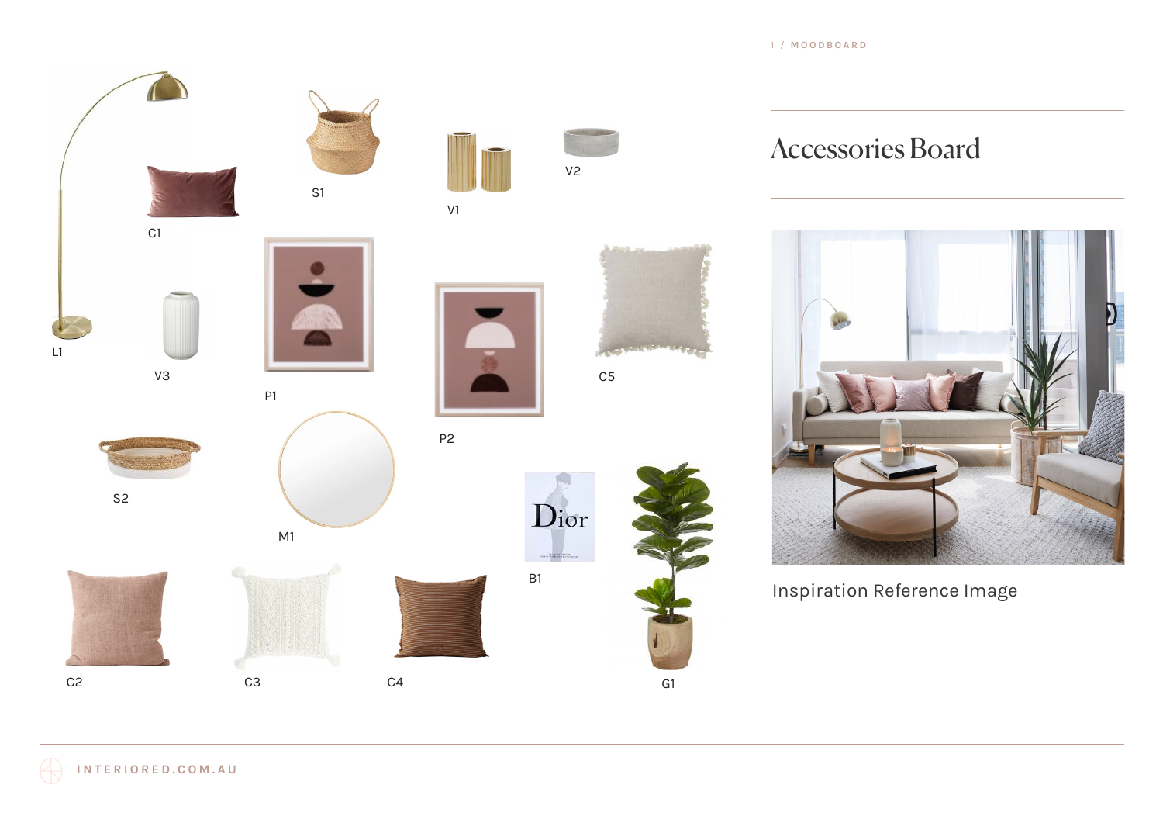1 / **MOODBOARD**



Accessories Board



Inspiration Reference Image

RRP 485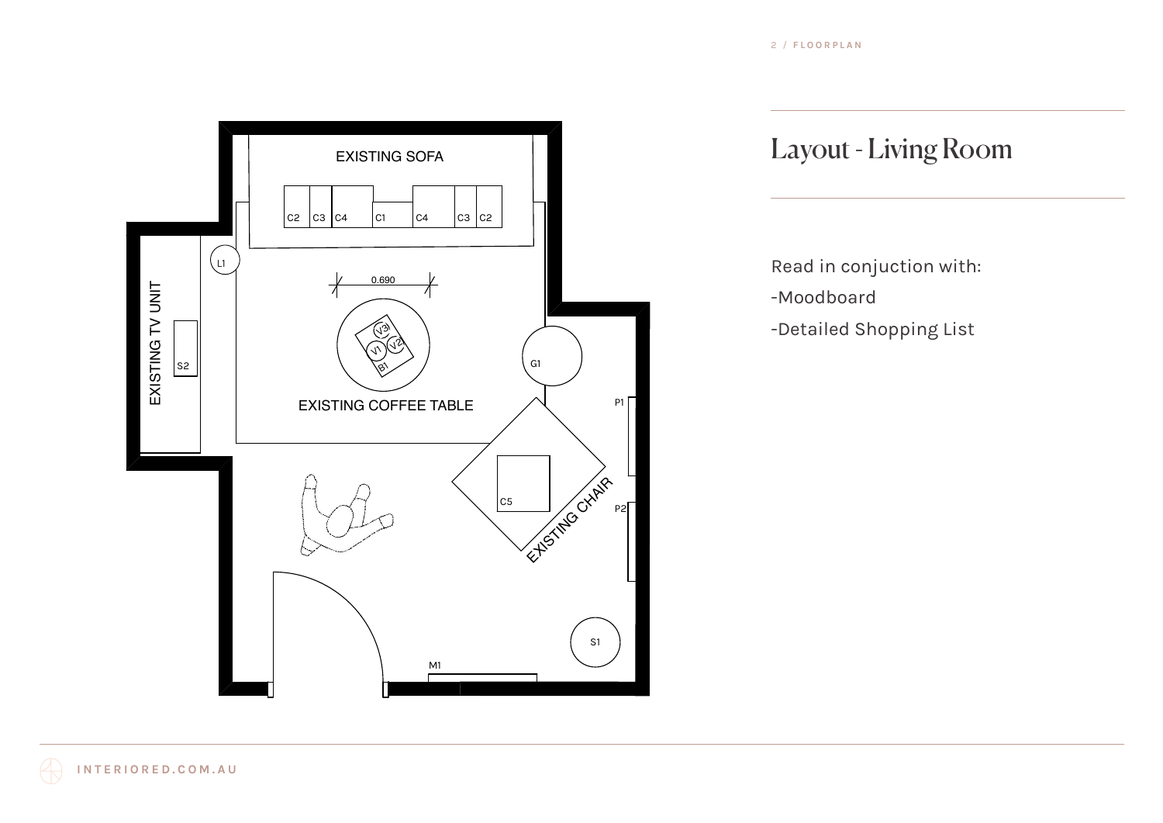

## Layout - Living Room

Read in conjuction with: -Moodboard -Detailed Shopping List